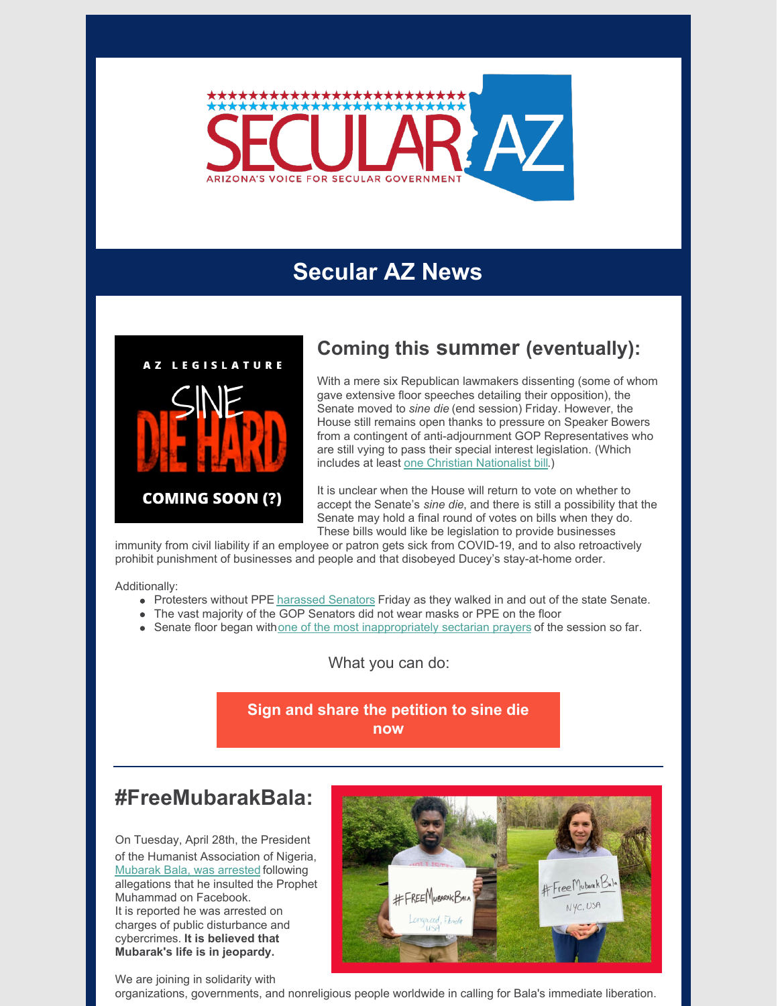

# **Secular AZ News**



### **Coming this summer (eventually):**

With a mere six Republican lawmakers dissenting (some of whom gave extensive floor speeches detailing their opposition), the Senate moved to *sine die* (end session) Friday. However, the House still remains open thanks to pressure on Speaker Bowers from a contingent of anti-adjournment GOP Representatives who are still vying to pass their special interest legislation. (Which includes at least one Christian [Nationalist](http://www.newnownext.com/arizona-house-moves-to-ban-trans-athletes/03/2020/) bill.)

It is unclear when the House will return to vote on whether to accept the Senate's *sine die*, and there is still a possibility that the Senate may hold a final round of votes on bills when they do. These bills would like be legislation to provide businesses

immunity from civil liability if an employee or patron gets sick from COVID-19, and to also retroactively prohibit punishment of businesses and people and that disobeyed Ducey's stay-at-home order.

Additionally:

- Protesters without PPE [harassed](https://www.facebook.com/VictoriaSteeleAZ/videos/10156933631101625/) Senators Friday as they walked in and out of the state Senate.
- The vast majority of the GOP Senators did not wear masks or PPE on the floor
- Senate floor began with one of the most [inappropriately](https://azleg.granicus.com/MediaPlayer.php?clip_id=24388&autostart=0) sectarian prayers of the session so far.

What you can do:

**Sign and share the [petition](https://p2a.co/Z7Xtk3p) to sine die now**

#### **#FreeMubarakBala:**

On Tuesday, April 28th, the President of the Humanist Association of Nigeria, [Mubarak](https://www.theguardian.com/world/2020/may/01/fears-for-nigerian-humanist-held-for-blasphemy-in-sharia-law-state) Bala, was arrested following allegations that he insulted the Prophet Muhammad on Facebook. It is reported he was arrested on charges of public disturbance and cybercrimes. **It is believed that Mubarak's life is in jeopardy.**



We are joining in solidarity with

organizations, governments, and nonreligious people worldwide in calling for Bala's immediate liberation.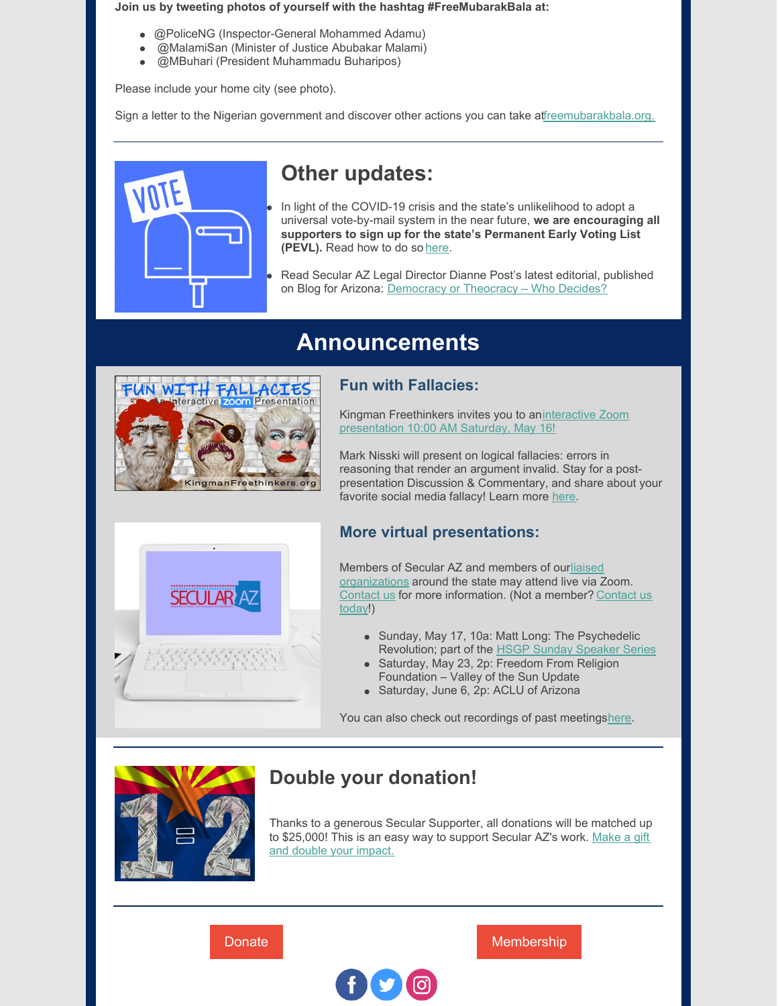#### **Join us by tweeting photos of yourself with the hashtag #FreeMubarakBala at:**

- @PoliceNG (Inspector-General Mohammed Adamu)
- @MalamiSan (Minister of Justice Abubakar Malami)
- @MBuhari (President Muhammadu Buharipos)

Please include your home city (see photo).

Sign a letter to the Nigerian government and discover other actions you can take a[tfreemubarakbala.org.](http://freemubarakbala.org)



# **Other updates:**

- In light of the COVID-19 crisis and the state's unlikelihood to adopt a universal vote-by-mail system in the near future, **we are encouraging all supporters to sign up for the state's Permanent Early Voting List (PEVL).** Read how to do so [here](https://www.azcleanelections.gov/how-to-vote/early-voting/ballot-by-mail).
- Read Secular AZ Legal Director Dianne Post's latest editorial, published on Blog for Arizona: [Democracy](https://blogforarizona.net/democracy-or-theocracy-who-decides/?fbclid=IwAR3TtScxdvimBB_JleZMr3jT5ILW0l1EDKHWP3gOyQ7mSZaS6N4tOCJB8g4) or Theocracy – Who Decides?

## **Announcements**



#### **Fun with Fallacies:**

Kingman Freethinkers invites you to [aninteractive](https://www.facebook.com/events/3095561337231867/) Zoom presentation 10:00 AM Saturday, May 16!

Mark Nisski will present on logical fallacies: errors in reasoning that render an argument invalid. Stay for a postpresentation Discussion & Commentary, and share about your favorite social media fallacy! Learn more [here](https://www.facebok.com/events/3095561337231867/).



#### **More virtual presentations:**

Members of Secular AZ and members of ourliaised [organizations](https://secularaz.org/about-secular-az/liaised-organizations/) around the state may attend live via Zoom. [Contact](https://secularaz.org/about-secular-az/contact-secular-coalition-for-arizona/) us for more [information.](mailto:linsay@secularaz.org) (Not a member? Contact us today!)

- Sunday, May 17, 10a: Matt Long: The Psychedelic Revolution; part of the HSGP Sunday [Speaker](https://hsgp.org/get-involved/events/upcoming?event_types=7) Series
- Saturday, May 23, 2p: Freedom From Religion Foundation – Valley of the Sun Update
- Saturday, June 6, 2p: ACLU of Arizona

You can also check out recordings of past meeting[shere](https://secularaz.org/secular-az-blog/).



#### **Double your donation!**

Thanks to a generous Secular Supporter, all donations will be matched up to [\\$25,000!](https://secularaz.org/product/donate/) This is an easy way to support Secular AZ's work. Make a gift and double your impact.